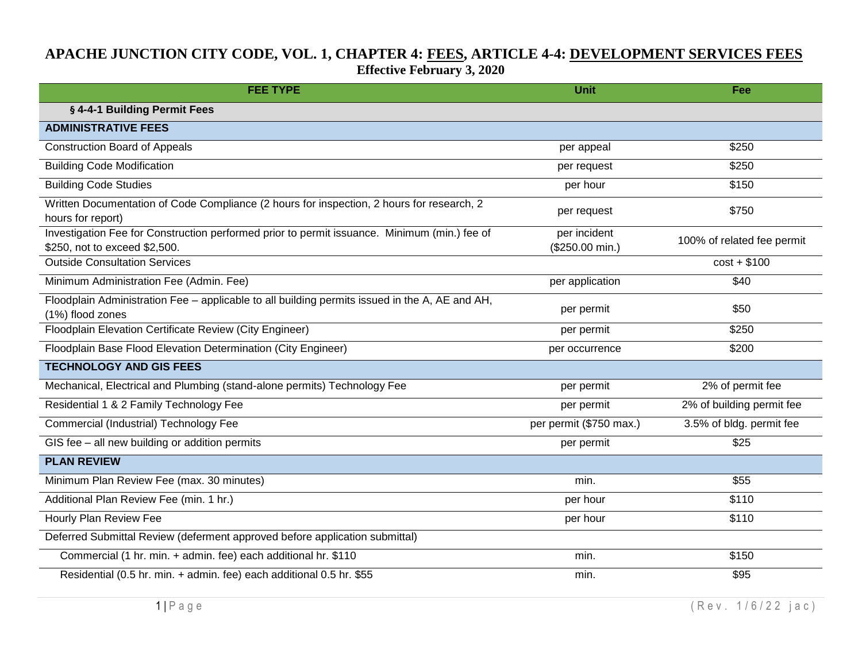## **APACHE JUNCTION CITY CODE, VOL. 1, CHAPTER 4: FEES, ARTICLE 4-4: DEVELOPMENT SERVICES FEES Effective February 3, 2020**

| <b>FEE TYPE</b>                                                                                                               | <b>Unit</b>                     | Fee                        |
|-------------------------------------------------------------------------------------------------------------------------------|---------------------------------|----------------------------|
| § 4-4-1 Building Permit Fees                                                                                                  |                                 |                            |
| <b>ADMINISTRATIVE FEES</b>                                                                                                    |                                 |                            |
| <b>Construction Board of Appeals</b>                                                                                          | per appeal                      | \$250                      |
| <b>Building Code Modification</b>                                                                                             | per request                     | \$250                      |
| <b>Building Code Studies</b>                                                                                                  | per hour                        | \$150                      |
| Written Documentation of Code Compliance (2 hours for inspection, 2 hours for research, 2<br>hours for report)                | per request                     | \$750                      |
| Investigation Fee for Construction performed prior to permit issuance. Minimum (min.) fee of<br>\$250, not to exceed \$2,500. | per incident<br>(\$250.00 min.) | 100% of related fee permit |
| <b>Outside Consultation Services</b>                                                                                          |                                 | $cost + $100$              |
| Minimum Administration Fee (Admin. Fee)                                                                                       | per application                 | \$40                       |
| Floodplain Administration Fee - applicable to all building permits issued in the A, AE and AH,<br>(1%) flood zones            | per permit                      | \$50                       |
| Floodplain Elevation Certificate Review (City Engineer)                                                                       | per permit                      | \$250                      |
| Floodplain Base Flood Elevation Determination (City Engineer)                                                                 | per occurrence                  | \$200                      |
| <b>TECHNOLOGY AND GIS FEES</b>                                                                                                |                                 |                            |
| Mechanical, Electrical and Plumbing (stand-alone permits) Technology Fee                                                      | per permit                      | 2% of permit fee           |
| Residential 1 & 2 Family Technology Fee                                                                                       | per permit                      | 2% of building permit fee  |
| Commercial (Industrial) Technology Fee                                                                                        | per permit (\$750 max.)         | 3.5% of bldg. permit fee   |
| GIS fee - all new building or addition permits                                                                                | per permit                      | \$25                       |
| <b>PLAN REVIEW</b>                                                                                                            |                                 |                            |
| Minimum Plan Review Fee (max. 30 minutes)                                                                                     | min.                            | \$55                       |
| Additional Plan Review Fee (min. 1 hr.)                                                                                       | per hour                        | \$110                      |
| Hourly Plan Review Fee                                                                                                        | per hour                        | \$110                      |
| Deferred Submittal Review (deferment approved before application submittal)                                                   |                                 |                            |
| Commercial (1 hr. min. + admin. fee) each additional hr. \$110                                                                | min.                            | \$150                      |
| Residential (0.5 hr. min. + admin. fee) each additional 0.5 hr. \$55                                                          | min.                            | \$95                       |

 $1 | P \text{age}$  (Rev. 1/6/22 jac)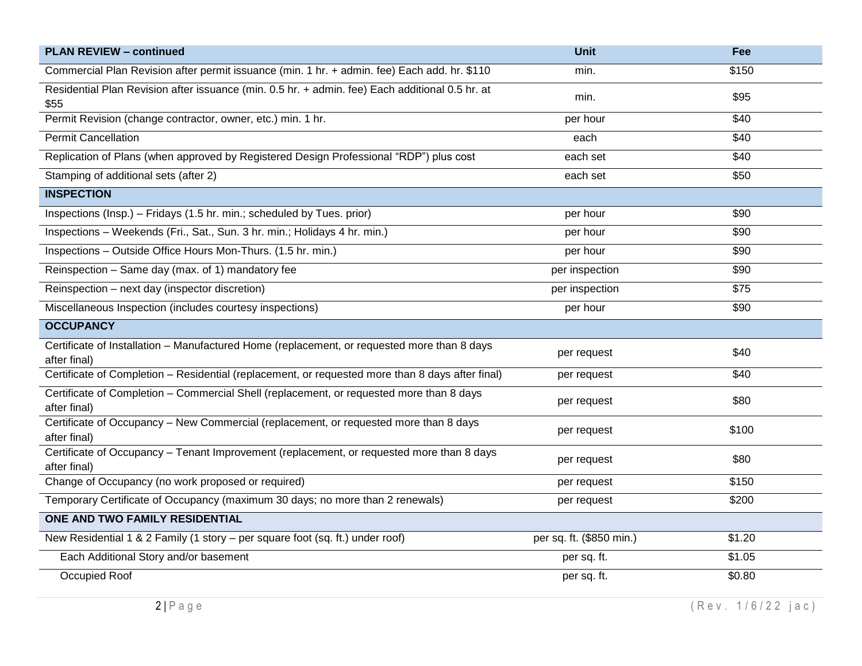| <b>PLAN REVIEW - continued</b>                                                                              | <b>Unit</b>              | Fee                |
|-------------------------------------------------------------------------------------------------------------|--------------------------|--------------------|
| Commercial Plan Revision after permit issuance (min. 1 hr. + admin. fee) Each add. hr. \$110                | min.                     | \$150              |
| Residential Plan Revision after issuance (min. 0.5 hr. + admin. fee) Each additional 0.5 hr. at<br>\$55     | min.                     | \$95               |
| Permit Revision (change contractor, owner, etc.) min. 1 hr.                                                 | per hour                 | \$40               |
| <b>Permit Cancellation</b>                                                                                  | each                     | \$40               |
| Replication of Plans (when approved by Registered Design Professional "RDP") plus cost                      | each set                 | $\overline{$40}$   |
| Stamping of additional sets (after 2)                                                                       | each set                 | \$50               |
| <b>INSPECTION</b>                                                                                           |                          |                    |
| Inspections (Insp.) - Fridays (1.5 hr. min.; scheduled by Tues. prior)                                      | per hour                 | \$90               |
| Inspections - Weekends (Fri., Sat., Sun. 3 hr. min.; Holidays 4 hr. min.)                                   | per hour                 | \$90               |
| Inspections - Outside Office Hours Mon-Thurs. (1.5 hr. min.)                                                | per hour                 | \$90               |
| Reinspection - Same day (max. of 1) mandatory fee                                                           | per inspection           | \$90               |
| Reinspection - next day (inspector discretion)                                                              | per inspection           | $\overline{$75}$   |
| Miscellaneous Inspection (includes courtesy inspections)                                                    | per hour                 | \$90               |
| <b>OCCUPANCY</b>                                                                                            |                          |                    |
| Certificate of Installation - Manufactured Home (replacement, or requested more than 8 days<br>after final) | per request              | \$40               |
| Certificate of Completion - Residential (replacement, or requested more than 8 days after final)            | per request              | \$40               |
| Certificate of Completion - Commercial Shell (replacement, or requested more than 8 days<br>after final)    | per request              | \$80               |
| Certificate of Occupancy - New Commercial (replacement, or requested more than 8 days<br>after final)       | per request              | \$100              |
| Certificate of Occupancy - Tenant Improvement (replacement, or requested more than 8 days<br>after final)   | per request              | \$80               |
| Change of Occupancy (no work proposed or required)                                                          | per request              | \$150              |
| Temporary Certificate of Occupancy (maximum 30 days; no more than 2 renewals)                               | per request              | \$200              |
| ONE AND TWO FAMILY RESIDENTIAL                                                                              |                          |                    |
| New Residential 1 & 2 Family (1 story - per square foot (sq. ft.) under roof)                               | per sq. ft. (\$850 min.) | \$1.20             |
| Each Additional Story and/or basement                                                                       | per sq. ft.              | \$1.05             |
| Occupied Roof                                                                                               | per sq. ft.              | $\overline{$}0.80$ |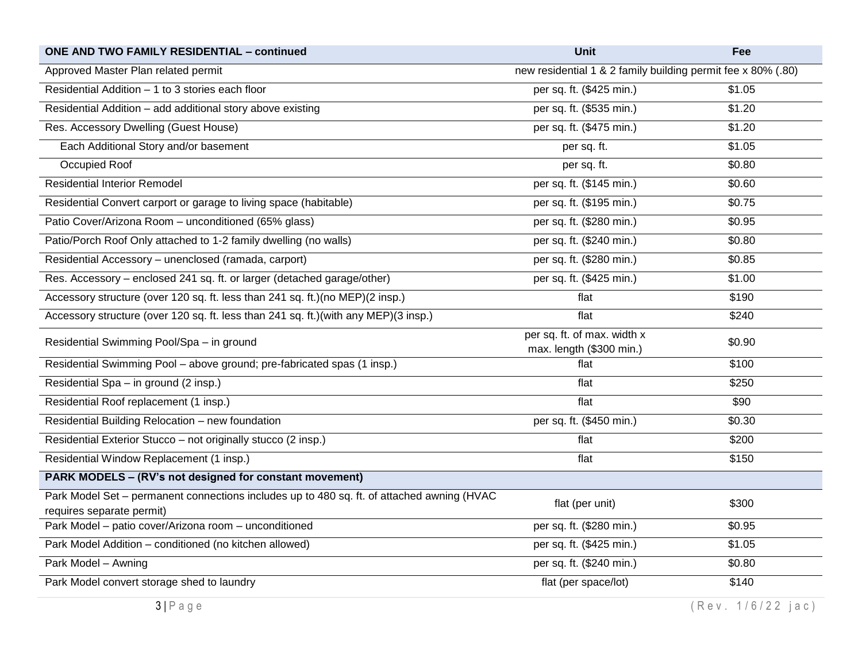| <b>ONE AND TWO FAMILY RESIDENTIAL - continued</b>                                                                       | <b>Unit</b>                                                  | Fee               |
|-------------------------------------------------------------------------------------------------------------------------|--------------------------------------------------------------|-------------------|
| Approved Master Plan related permit                                                                                     | new residential 1 & 2 family building permit fee x 80% (.80) |                   |
| Residential Addition - 1 to 3 stories each floor                                                                        | per sq. ft. (\$425 min.)                                     | \$1.05            |
| Residential Addition - add additional story above existing                                                              | per sq. ft. (\$535 min.)                                     | \$1.20            |
| Res. Accessory Dwelling (Guest House)                                                                                   | per sq. ft. (\$475 min.)                                     | \$1.20            |
| Each Additional Story and/or basement                                                                                   | per sq. ft.                                                  | \$1.05            |
| Occupied Roof                                                                                                           | per sq. ft.                                                  | \$0.80            |
| <b>Residential Interior Remodel</b>                                                                                     | per sq. ft. (\$145 min.)                                     | \$0.60            |
| Residential Convert carport or garage to living space (habitable)                                                       | per sq. ft. (\$195 min.)                                     | \$0.75            |
| Patio Cover/Arizona Room - unconditioned (65% glass)                                                                    | per sq. ft. (\$280 min.)                                     | \$0.95            |
| Patio/Porch Roof Only attached to 1-2 family dwelling (no walls)                                                        | per sq. ft. (\$240 min.)                                     | \$0.80            |
| Residential Accessory - unenclosed (ramada, carport)                                                                    | per sq. ft. (\$280 min.)                                     | \$0.85            |
| Res. Accessory – enclosed 241 sq. ft. or larger (detached garage/other)                                                 | per sq. ft. (\$425 min.)                                     | \$1.00            |
| Accessory structure (over 120 sq. ft. less than 241 sq. ft.)(no MEP)(2 insp.)                                           | flat                                                         | \$190             |
| Accessory structure (over 120 sq. ft. less than 241 sq. ft.)(with any MEP)(3 insp.)                                     | flat                                                         | \$240             |
| Residential Swimming Pool/Spa - in ground                                                                               | per sq. ft. of max. width x<br>max. length (\$300 min.)      | \$0.90            |
| Residential Swimming Pool - above ground; pre-fabricated spas (1 insp.)                                                 | flat                                                         | $\overline{$}100$ |
| Residential Spa - in ground (2 insp.)                                                                                   | flat                                                         | \$250             |
| Residential Roof replacement (1 insp.)                                                                                  | flat                                                         | \$90              |
| Residential Building Relocation - new foundation                                                                        | per sq. ft. (\$450 min.)                                     | \$0.30            |
| Residential Exterior Stucco - not originally stucco (2 insp.)                                                           | flat                                                         | \$200             |
| Residential Window Replacement (1 insp.)                                                                                | flat                                                         | \$150             |
| PARK MODELS - (RV's not designed for constant movement)                                                                 |                                                              |                   |
| Park Model Set – permanent connections includes up to 480 sq. ft. of attached awning (HVAC<br>requires separate permit) | flat (per unit)                                              | \$300             |
| Park Model - patio cover/Arizona room - unconditioned                                                                   | per sq. ft. (\$280 min.)                                     | \$0.95            |
| Park Model Addition - conditioned (no kitchen allowed)                                                                  | per sq. ft. (\$425 min.)                                     | \$1.05            |
| Park Model - Awning                                                                                                     | per sq. ft. (\$240 min.)                                     | \$0.80            |
| Park Model convert storage shed to laundry                                                                              | flat (per space/lot)                                         | \$140             |
| $3 P$ age                                                                                                               |                                                              | (Rev. 1/6/22 jac) |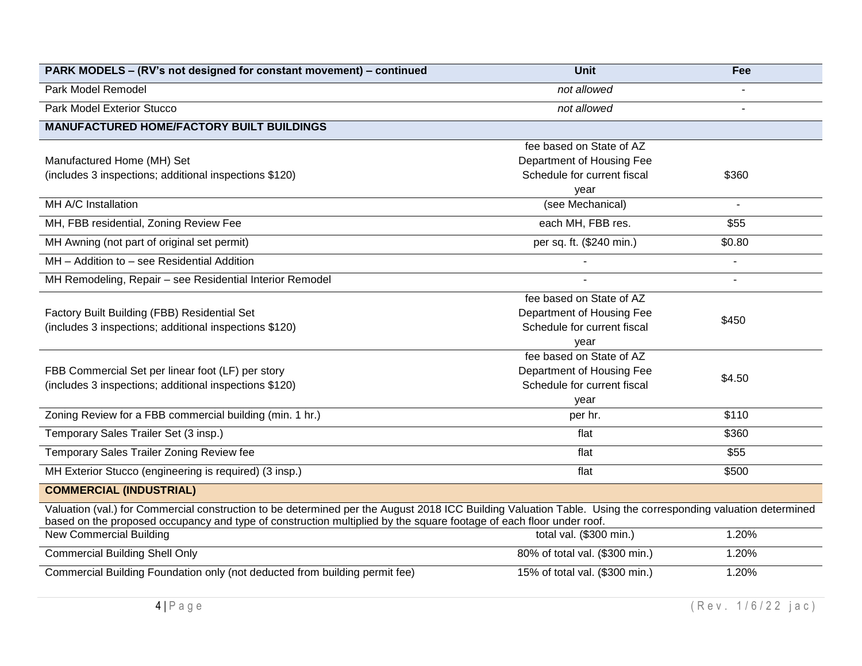| PARK MODELS - (RV's not designed for constant movement) - continued                                                                                                                                                                                                                 | <b>Unit</b>                                                                                  | Fee            |
|-------------------------------------------------------------------------------------------------------------------------------------------------------------------------------------------------------------------------------------------------------------------------------------|----------------------------------------------------------------------------------------------|----------------|
| Park Model Remodel                                                                                                                                                                                                                                                                  | not allowed                                                                                  |                |
| <b>Park Model Exterior Stucco</b>                                                                                                                                                                                                                                                   | not allowed                                                                                  |                |
| <b>MANUFACTURED HOME/FACTORY BUILT BUILDINGS</b>                                                                                                                                                                                                                                    |                                                                                              |                |
| Manufactured Home (MH) Set<br>(includes 3 inspections; additional inspections \$120)                                                                                                                                                                                                | fee based on State of AZ<br>Department of Housing Fee<br>Schedule for current fiscal<br>year | \$360          |
| MH A/C Installation                                                                                                                                                                                                                                                                 | (see Mechanical)                                                                             | $\blacksquare$ |
| MH, FBB residential, Zoning Review Fee                                                                                                                                                                                                                                              | each MH, FBB res.                                                                            | \$55           |
| MH Awning (not part of original set permit)                                                                                                                                                                                                                                         | per sq. ft. (\$240 min.)                                                                     | \$0.80         |
| MH - Addition to - see Residential Addition                                                                                                                                                                                                                                         |                                                                                              | $\blacksquare$ |
| MH Remodeling, Repair - see Residential Interior Remodel                                                                                                                                                                                                                            |                                                                                              |                |
| Factory Built Building (FBB) Residential Set<br>(includes 3 inspections; additional inspections \$120)                                                                                                                                                                              | fee based on State of AZ<br>Department of Housing Fee<br>Schedule for current fiscal<br>year | \$450          |
| FBB Commercial Set per linear foot (LF) per story<br>(includes 3 inspections; additional inspections \$120)                                                                                                                                                                         | fee based on State of AZ<br>Department of Housing Fee<br>Schedule for current fiscal<br>year | \$4.50         |
| Zoning Review for a FBB commercial building (min. 1 hr.)                                                                                                                                                                                                                            | per hr.                                                                                      | \$110          |
| Temporary Sales Trailer Set (3 insp.)                                                                                                                                                                                                                                               | flat                                                                                         | \$360          |
| Temporary Sales Trailer Zoning Review fee                                                                                                                                                                                                                                           | flat                                                                                         | \$55           |
| MH Exterior Stucco (engineering is required) (3 insp.)                                                                                                                                                                                                                              | flat                                                                                         | \$500          |
| <b>COMMERCIAL (INDUSTRIAL)</b>                                                                                                                                                                                                                                                      |                                                                                              |                |
| Valuation (val.) for Commercial construction to be determined per the August 2018 ICC Building Valuation Table. Using the corresponding valuation determined<br>based on the proposed occupancy and type of construction multiplied by the square footage of each floor under roof. |                                                                                              |                |
| New Commercial Building                                                                                                                                                                                                                                                             | total val. (\$300 min.)                                                                      | 1.20%          |
| <b>Commercial Building Shell Only</b>                                                                                                                                                                                                                                               | 80% of total val. (\$300 min.)                                                               | 1.20%          |
| Commercial Building Foundation only (not deducted from building permit fee)                                                                                                                                                                                                         | 15% of total val. (\$300 min.)                                                               | 1.20%          |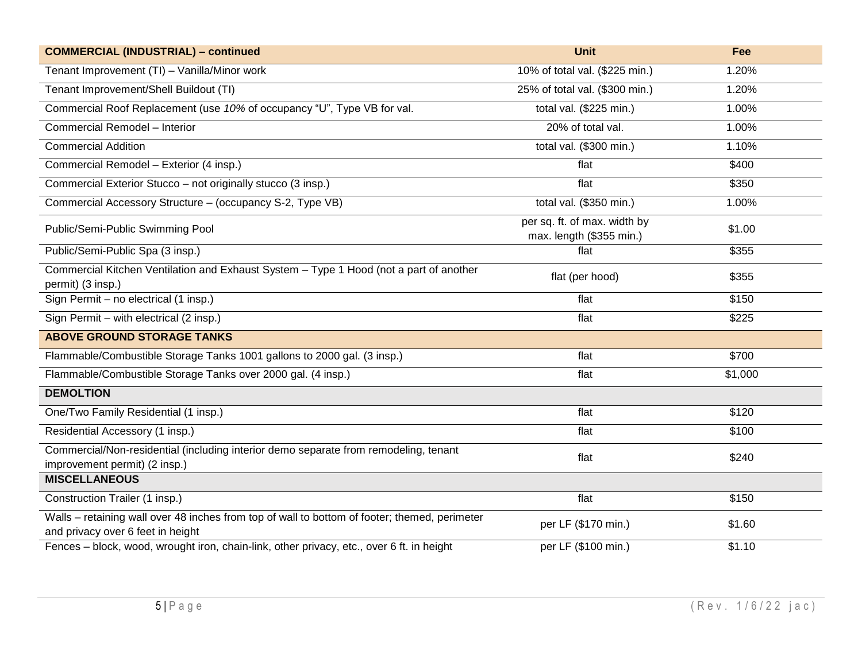| <b>COMMERCIAL (INDUSTRIAL) - continued</b>                                                                                         | <b>Unit</b>                                              | Fee     |
|------------------------------------------------------------------------------------------------------------------------------------|----------------------------------------------------------|---------|
| Tenant Improvement (TI) - Vanilla/Minor work                                                                                       | 10% of total val. (\$225 min.)                           | 1.20%   |
| Tenant Improvement/Shell Buildout (TI)                                                                                             | 25% of total val. (\$300 min.)                           | 1.20%   |
| Commercial Roof Replacement (use 10% of occupancy "U", Type VB for val.                                                            | total val. (\$225 min.)                                  | 1.00%   |
| Commercial Remodel - Interior                                                                                                      | 20% of total val.                                        | 1.00%   |
| <b>Commercial Addition</b>                                                                                                         | total val. (\$300 min.)                                  | 1.10%   |
| Commercial Remodel - Exterior (4 insp.)                                                                                            | flat                                                     | \$400   |
| Commercial Exterior Stucco - not originally stucco (3 insp.)                                                                       | flat                                                     | \$350   |
| Commercial Accessory Structure - (occupancy S-2, Type VB)                                                                          | total val. (\$350 min.)                                  | 1.00%   |
| Public/Semi-Public Swimming Pool                                                                                                   | per sq. ft. of max. width by<br>max. length (\$355 min.) | \$1.00  |
| Public/Semi-Public Spa (3 insp.)                                                                                                   | flat                                                     | \$355   |
| Commercial Kitchen Ventilation and Exhaust System - Type 1 Hood (not a part of another<br>permit) (3 insp.)                        | flat (per hood)                                          | \$355   |
| Sign Permit - no electrical (1 insp.)                                                                                              | flat                                                     | \$150   |
| Sign Permit - with electrical (2 insp.)                                                                                            | flat                                                     | \$225   |
| <b>ABOVE GROUND STORAGE TANKS</b>                                                                                                  |                                                          |         |
| Flammable/Combustible Storage Tanks 1001 gallons to 2000 gal. (3 insp.)                                                            | flat                                                     | \$700   |
| Flammable/Combustible Storage Tanks over 2000 gal. (4 insp.)                                                                       | flat                                                     | \$1,000 |
| <b>DEMOLTION</b>                                                                                                                   |                                                          |         |
| One/Two Family Residential (1 insp.)                                                                                               | flat                                                     | \$120   |
| Residential Accessory (1 insp.)                                                                                                    | flat                                                     | \$100   |
| Commercial/Non-residential (including interior demo separate from remodeling, tenant<br>improvement permit) (2 insp.)              | flat                                                     | \$240   |
| <b>MISCELLANEOUS</b>                                                                                                               |                                                          |         |
| Construction Trailer (1 insp.)                                                                                                     | flat                                                     | \$150   |
| Walls – retaining wall over 48 inches from top of wall to bottom of footer; themed, perimeter<br>and privacy over 6 feet in height | per LF (\$170 min.)                                      | \$1.60  |
| Fences - block, wood, wrought iron, chain-link, other privacy, etc., over 6 ft. in height                                          | per LF (\$100 min.)                                      | \$1.10  |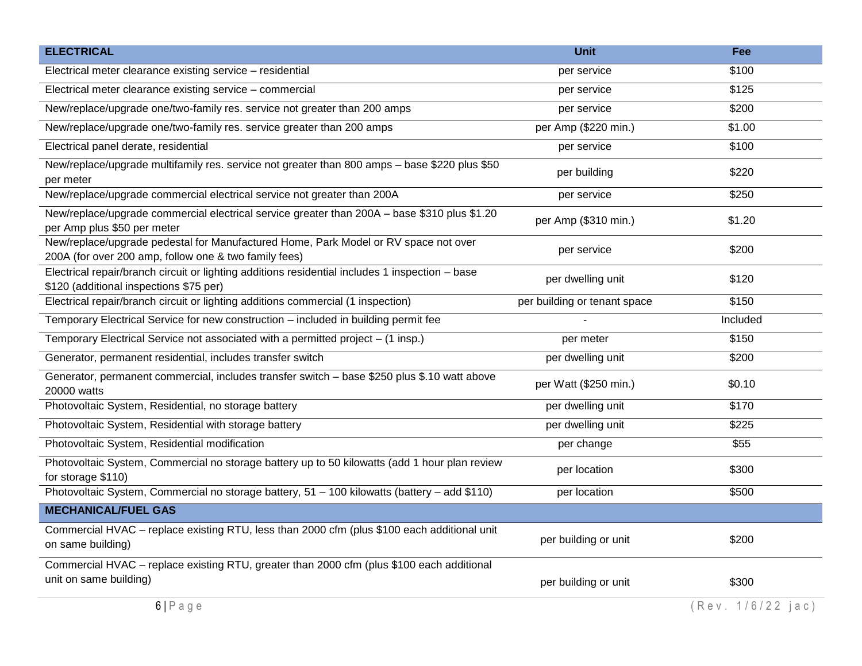| <b>ELECTRICAL</b>                                                                                                                            | <b>Unit</b>                  | Fee               |
|----------------------------------------------------------------------------------------------------------------------------------------------|------------------------------|-------------------|
| Electrical meter clearance existing service - residential                                                                                    | per service                  | \$100             |
| Electrical meter clearance existing service - commercial                                                                                     | per service                  | \$125             |
| New/replace/upgrade one/two-family res. service not greater than 200 amps                                                                    | per service                  | \$200             |
| New/replace/upgrade one/two-family res. service greater than 200 amps                                                                        | per Amp (\$220 min.)         | \$1.00            |
| Electrical panel derate, residential                                                                                                         | per service                  | \$100             |
| New/replace/upgrade multifamily res. service not greater than 800 amps - base \$220 plus \$50<br>per meter                                   | per building                 | \$220             |
| New/replace/upgrade commercial electrical service not greater than 200A                                                                      | per service                  | \$250             |
| New/replace/upgrade commercial electrical service greater than 200A - base \$310 plus \$1.20<br>per Amp plus \$50 per meter                  | per Amp (\$310 min.)         | \$1.20            |
| New/replace/upgrade pedestal for Manufactured Home, Park Model or RV space not over<br>200A (for over 200 amp, follow one & two family fees) | per service                  | \$200             |
| Electrical repair/branch circuit or lighting additions residential includes 1 inspection - base<br>\$120 (additional inspections \$75 per)   | per dwelling unit            | \$120             |
| Electrical repair/branch circuit or lighting additions commercial (1 inspection)                                                             | per building or tenant space | \$150             |
| Temporary Electrical Service for new construction - included in building permit fee                                                          |                              | Included          |
| Temporary Electrical Service not associated with a permitted project - (1 insp.)                                                             | per meter                    | \$150             |
| Generator, permanent residential, includes transfer switch                                                                                   | per dwelling unit            | \$200             |
| Generator, permanent commercial, includes transfer switch - base \$250 plus \$.10 watt above<br>20000 watts                                  | per Watt (\$250 min.)        | \$0.10            |
| Photovoltaic System, Residential, no storage battery                                                                                         | per dwelling unit            | \$170             |
| Photovoltaic System, Residential with storage battery                                                                                        | per dwelling unit            | \$225             |
| Photovoltaic System, Residential modification                                                                                                | per change                   | \$55              |
| Photovoltaic System, Commercial no storage battery up to 50 kilowatts (add 1 hour plan review<br>for storage \$110)                          | per location                 | \$300             |
| Photovoltaic System, Commercial no storage battery, 51 - 100 kilowatts (battery - add \$110)                                                 | per location                 | \$500             |
| <b>MECHANICAL/FUEL GAS</b>                                                                                                                   |                              |                   |
| Commercial HVAC - replace existing RTU, less than 2000 cfm (plus \$100 each additional unit<br>on same building)                             | per building or unit         | \$200             |
| Commercial HVAC - replace existing RTU, greater than 2000 cfm (plus \$100 each additional<br>unit on same building)                          | per building or unit         | \$300             |
| $6 P \text{ age}$                                                                                                                            |                              | (Rev. 1/6/22 jac) |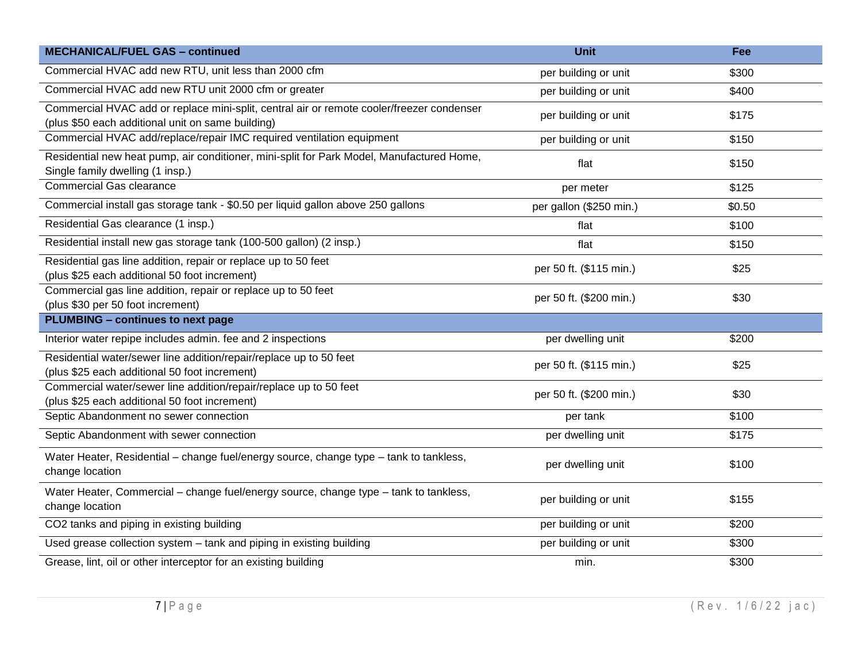| <b>MECHANICAL/FUEL GAS - continued</b>                                                                                                         | <b>Unit</b>             | Fee    |
|------------------------------------------------------------------------------------------------------------------------------------------------|-------------------------|--------|
| Commercial HVAC add new RTU, unit less than 2000 cfm                                                                                           | per building or unit    | \$300  |
| Commercial HVAC add new RTU unit 2000 cfm or greater                                                                                           | per building or unit    | \$400  |
| Commercial HVAC add or replace mini-split, central air or remote cooler/freezer condenser<br>(plus \$50 each additional unit on same building) | per building or unit    | \$175  |
| Commercial HVAC add/replace/repair IMC required ventilation equipment                                                                          | per building or unit    | \$150  |
| Residential new heat pump, air conditioner, mini-split for Park Model, Manufactured Home,<br>Single family dwelling (1 insp.)                  | flat                    | \$150  |
| <b>Commercial Gas clearance</b>                                                                                                                | per meter               | \$125  |
| Commercial install gas storage tank - \$0.50 per liquid gallon above 250 gallons                                                               | per gallon (\$250 min.) | \$0.50 |
| Residential Gas clearance (1 insp.)                                                                                                            | flat                    | \$100  |
| Residential install new gas storage tank (100-500 gallon) (2 insp.)                                                                            | flat                    | \$150  |
| Residential gas line addition, repair or replace up to 50 feet<br>(plus \$25 each additional 50 foot increment)                                | per 50 ft. (\$115 min.) | \$25   |
| Commercial gas line addition, repair or replace up to 50 feet<br>(plus \$30 per 50 foot increment)                                             | per 50 ft. (\$200 min.) | \$30   |
| <b>PLUMBING - continues to next page</b>                                                                                                       |                         |        |
| Interior water repipe includes admin. fee and 2 inspections                                                                                    | per dwelling unit       | \$200  |
| Residential water/sewer line addition/repair/replace up to 50 feet<br>(plus \$25 each additional 50 foot increment)                            | per 50 ft. (\$115 min.) | \$25   |
| Commercial water/sewer line addition/repair/replace up to 50 feet<br>(plus \$25 each additional 50 foot increment)                             | per 50 ft. (\$200 min.) | \$30   |
| Septic Abandonment no sewer connection                                                                                                         | per tank                | \$100  |
| Septic Abandonment with sewer connection                                                                                                       | per dwelling unit       | \$175  |
| Water Heater, Residential - change fuel/energy source, change type - tank to tankless,<br>change location                                      | per dwelling unit       | \$100  |
| Water Heater, Commercial - change fuel/energy source, change type - tank to tankless,<br>change location                                       | per building or unit    | \$155  |
| CO2 tanks and piping in existing building                                                                                                      | per building or unit    | \$200  |
| Used grease collection system - tank and piping in existing building                                                                           | per building or unit    | \$300  |
| Grease, lint, oil or other interceptor for an existing building                                                                                | min.                    | \$300  |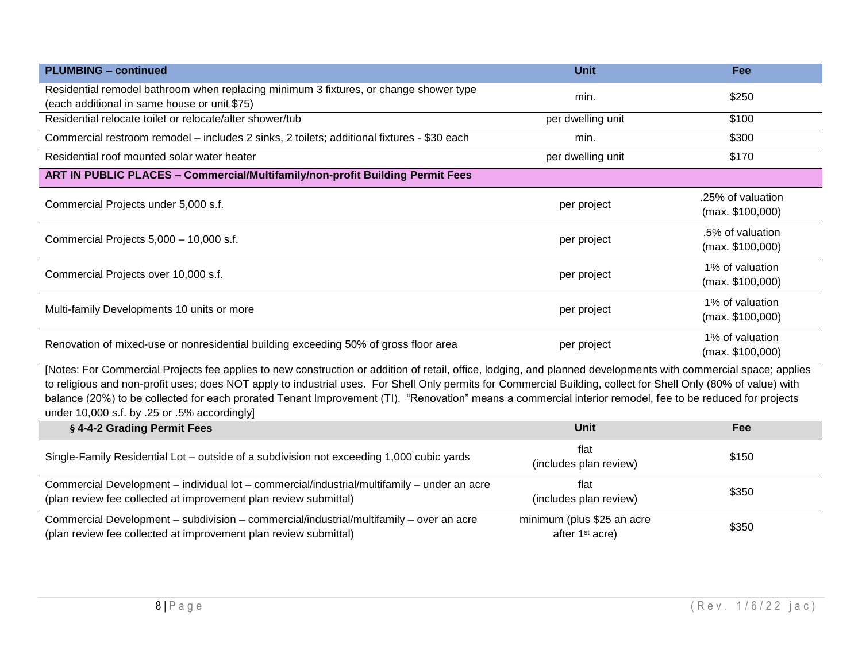| <b>PLUMBING - continued</b>                                                                                                           | <b>Unit</b>       | Fee                                   |
|---------------------------------------------------------------------------------------------------------------------------------------|-------------------|---------------------------------------|
| Residential remodel bathroom when replacing minimum 3 fixtures, or change shower type<br>(each additional in same house or unit \$75) | min.              | \$250                                 |
| Residential relocate toilet or relocate/alter shower/tub                                                                              | per dwelling unit | \$100                                 |
| Commercial restroom remodel - includes 2 sinks, 2 toilets; additional fixtures - \$30 each                                            | min.              | \$300                                 |
| Residential roof mounted solar water heater                                                                                           | per dwelling unit | \$170                                 |
| ART IN PUBLIC PLACES - Commercial/Multifamily/non-profit Building Permit Fees                                                         |                   |                                       |
| Commercial Projects under 5,000 s.f.                                                                                                  | per project       | .25% of valuation<br>(max. \$100,000) |
| Commercial Projects 5,000 - 10,000 s.f.                                                                                               | per project       | .5% of valuation<br>(max. \$100,000)  |
| Commercial Projects over 10,000 s.f.                                                                                                  | per project       | 1% of valuation<br>(max. \$100,000)   |
| Multi-family Developments 10 units or more                                                                                            | per project       | 1% of valuation<br>(max. \$100,000)   |
| Renovation of mixed-use or nonresidential building exceeding 50% of gross floor area                                                  | per project       | 1% of valuation<br>(max. \$100,000)   |

[Notes: For Commercial Projects fee applies to new construction or addition of retail, office, lodging, and planned developments with commercial space; applies to religious and non-profit uses; does NOT apply to industrial uses. For Shell Only permits for Commercial Building, collect for Shell Only (80% of value) with balance (20%) to be collected for each prorated Tenant Improvement (TI). "Renovation" means a commercial interior remodel, fee to be reduced for projects under 10,000 s.f. by .25 or .5% accordingly]

| § 4-4-2 Grading Permit Fees                                                                                                                                     | Unit                                                      | Fee   |
|-----------------------------------------------------------------------------------------------------------------------------------------------------------------|-----------------------------------------------------------|-------|
| Single-Family Residential Lot - outside of a subdivision not exceeding 1,000 cubic yards                                                                        | flat<br>(includes plan review)                            | \$150 |
| Commercial Development - individual lot - commercial/industrial/multifamily - under an acre<br>(plan review fee collected at improvement plan review submittal) | flat<br>(includes plan review)                            | \$350 |
| Commercial Development - subdivision - commercial/industrial/multifamily - over an acre<br>(plan review fee collected at improvement plan review submittal)     | minimum (plus \$25 an acre<br>after 1 <sup>st</sup> acre) | \$350 |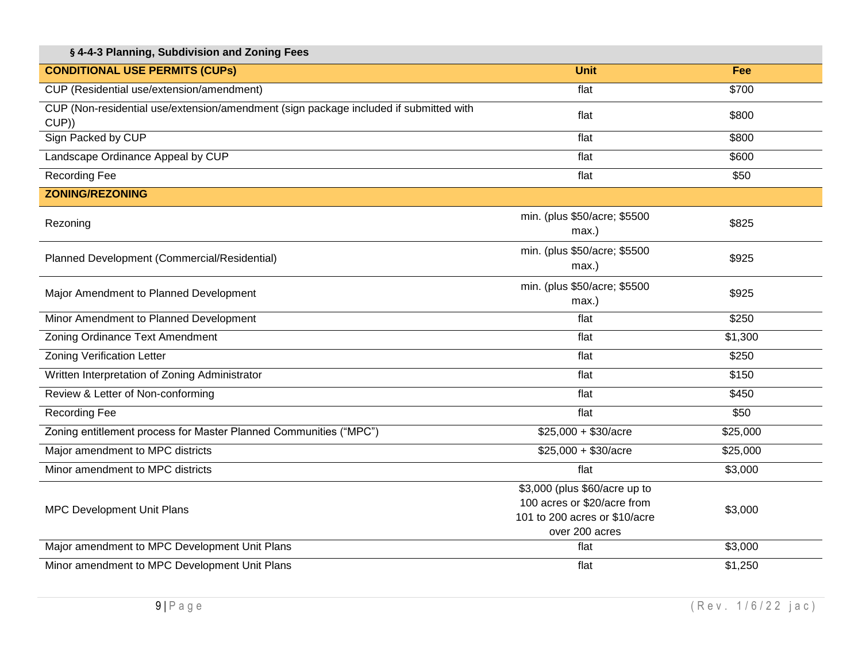| § 4-4-3 Planning, Subdivision and Zoning Fees                                                  |                                                                                                                 |            |
|------------------------------------------------------------------------------------------------|-----------------------------------------------------------------------------------------------------------------|------------|
| <b>CONDITIONAL USE PERMITS (CUPS)</b>                                                          | <b>Unit</b>                                                                                                     | <b>Fee</b> |
| CUP (Residential use/extension/amendment)                                                      | flat                                                                                                            | \$700      |
| CUP (Non-residential use/extension/amendment (sign package included if submitted with<br>CUP)) | flat                                                                                                            | \$800      |
| Sign Packed by CUP                                                                             | flat                                                                                                            | \$800      |
| Landscape Ordinance Appeal by CUP                                                              | flat                                                                                                            | \$600      |
| <b>Recording Fee</b>                                                                           | flat                                                                                                            | \$50       |
| <b>ZONING/REZONING</b>                                                                         |                                                                                                                 |            |
| Rezoning                                                                                       | min. (plus \$50/acre; \$5500<br>$max.$ )                                                                        | \$825      |
| Planned Development (Commercial/Residential)                                                   | min. (plus \$50/acre; \$5500<br>max.)                                                                           | \$925      |
| Major Amendment to Planned Development                                                         | min. (plus \$50/acre; \$5500<br>$max.$ )                                                                        | \$925      |
| Minor Amendment to Planned Development                                                         | flat                                                                                                            | \$250      |
| Zoning Ordinance Text Amendment                                                                | flat                                                                                                            | \$1,300    |
| <b>Zoning Verification Letter</b>                                                              | flat                                                                                                            | \$250      |
| Written Interpretation of Zoning Administrator                                                 | flat                                                                                                            | \$150      |
| Review & Letter of Non-conforming                                                              | flat                                                                                                            | \$450      |
| <b>Recording Fee</b>                                                                           | flat                                                                                                            | \$50       |
| Zoning entitlement process for Master Planned Communities ("MPC")                              | $$25,000 + $30/ \text{acre}$                                                                                    | \$25,000   |
| Major amendment to MPC districts                                                               | $$25,000 + $30/ \text{acre}$                                                                                    | \$25,000   |
| Minor amendment to MPC districts                                                               | flat                                                                                                            | \$3,000    |
| MPC Development Unit Plans                                                                     | \$3,000 (plus \$60/acre up to<br>100 acres or \$20/acre from<br>101 to 200 acres or \$10/acre<br>over 200 acres | \$3,000    |
| Major amendment to MPC Development Unit Plans                                                  | flat                                                                                                            | \$3,000    |
| Minor amendment to MPC Development Unit Plans                                                  | flat                                                                                                            | \$1,250    |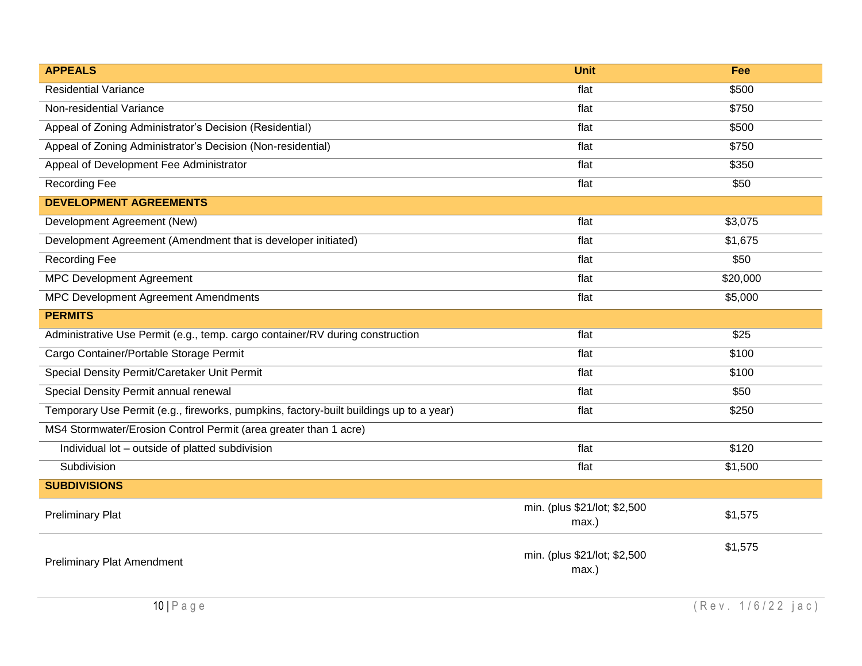| <b>APPEALS</b>                                                                         | <b>Unit</b>                              | Fee      |
|----------------------------------------------------------------------------------------|------------------------------------------|----------|
| <b>Residential Variance</b>                                                            | flat                                     | \$500    |
| Non-residential Variance                                                               | flat                                     | \$750    |
| Appeal of Zoning Administrator's Decision (Residential)                                | flat                                     | \$500    |
| Appeal of Zoning Administrator's Decision (Non-residential)                            | flat                                     | \$750    |
| Appeal of Development Fee Administrator                                                | flat                                     | \$350    |
| <b>Recording Fee</b>                                                                   | flat                                     | \$50     |
| <b>DEVELOPMENT AGREEMENTS</b>                                                          |                                          |          |
| Development Agreement (New)                                                            | flat                                     | \$3,075  |
| Development Agreement (Amendment that is developer initiated)                          | $f$ lat                                  | \$1,675  |
| <b>Recording Fee</b>                                                                   | flat                                     | \$50     |
| <b>MPC Development Agreement</b>                                                       | flat                                     | \$20,000 |
| MPC Development Agreement Amendments                                                   | flat                                     | \$5,000  |
| <b>PERMITS</b>                                                                         |                                          |          |
| Administrative Use Permit (e.g., temp. cargo container/RV during construction          | flat                                     | \$25     |
| Cargo Container/Portable Storage Permit                                                | flat                                     | \$100    |
| Special Density Permit/Caretaker Unit Permit                                           | flat                                     | \$100    |
| Special Density Permit annual renewal                                                  | flat                                     | \$50     |
| Temporary Use Permit (e.g., fireworks, pumpkins, factory-built buildings up to a year) | flat                                     | \$250    |
| MS4 Stormwater/Erosion Control Permit (area greater than 1 acre)                       |                                          |          |
| Individual lot - outside of platted subdivision                                        | flat                                     | \$120    |
| Subdivision                                                                            | flat                                     | \$1,500  |
| <b>SUBDIVISIONS</b>                                                                    |                                          |          |
| <b>Preliminary Plat</b>                                                                | min. (plus \$21/lot; \$2,500<br>$max.$ ) | \$1,575  |
| <b>Preliminary Plat Amendment</b>                                                      | min. (plus \$21/lot; \$2,500<br>max.)    | \$1,575  |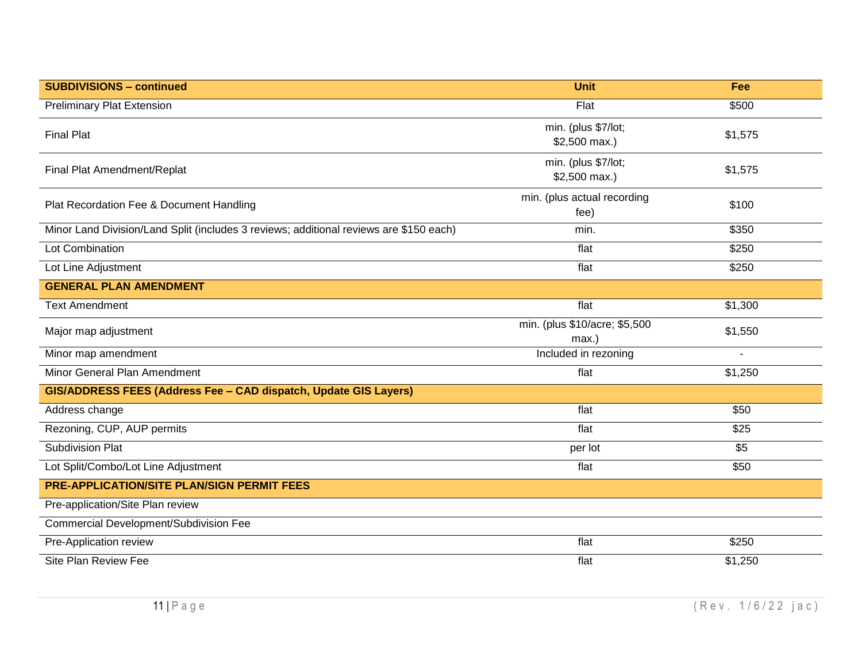| <b>SUBDIVISIONS - continued</b>                                                        | <b>Unit</b>                            | Fee              |
|----------------------------------------------------------------------------------------|----------------------------------------|------------------|
| <b>Preliminary Plat Extension</b>                                                      | Flat                                   | \$500            |
| <b>Final Plat</b>                                                                      | min. (plus \$7/lot;<br>\$2,500 max.)   | \$1,575          |
| Final Plat Amendment/Replat                                                            | min. (plus \$7/lot;<br>\$2,500 max.)   | \$1,575          |
| Plat Recordation Fee & Document Handling                                               | min. (plus actual recording<br>fee)    | \$100            |
| Minor Land Division/Land Split (includes 3 reviews; additional reviews are \$150 each) | min.                                   | \$350            |
| Lot Combination                                                                        | flat                                   | \$250            |
| Lot Line Adjustment                                                                    | flat                                   | \$250            |
| <b>GENERAL PLAN AMENDMENT</b>                                                          |                                        |                  |
| <b>Text Amendment</b>                                                                  | flat                                   | \$1,300          |
| Major map adjustment                                                                   | min. (plus \$10/acre; \$5,500<br>max.) | \$1,550          |
| Minor map amendment                                                                    | Included in rezoning                   | $\blacksquare$   |
| Minor General Plan Amendment                                                           | flat                                   | \$1,250          |
| GIS/ADDRESS FEES (Address Fee - CAD dispatch, Update GIS Layers)                       |                                        |                  |
| Address change                                                                         | flat                                   | \$50             |
| Rezoning, CUP, AUP permits                                                             | flat                                   | $\sqrt{$25}$     |
| <b>Subdivision Plat</b>                                                                | per lot                                | $\overline{\$5}$ |
| Lot Split/Combo/Lot Line Adjustment                                                    | flat                                   | \$50             |
| <b>PRE-APPLICATION/SITE PLAN/SIGN PERMIT FEES</b>                                      |                                        |                  |
| Pre-application/Site Plan review                                                       |                                        |                  |
| Commercial Development/Subdivision Fee                                                 |                                        |                  |
| Pre-Application review                                                                 | flat                                   | \$250            |
| Site Plan Review Fee                                                                   | flat                                   | \$1,250          |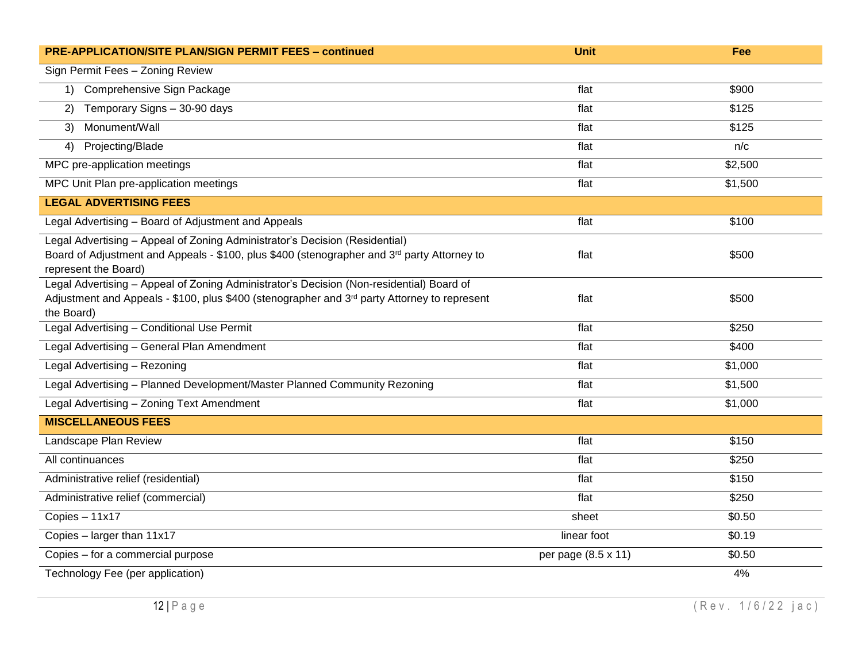| <b>PRE-APPLICATION/SITE PLAN/SIGN PERMIT FEES - continued</b>                                                    | Unit                | Fee             |
|------------------------------------------------------------------------------------------------------------------|---------------------|-----------------|
| Sign Permit Fees - Zoning Review                                                                                 |                     |                 |
| Comprehensive Sign Package<br>$\left( \begin{matrix} 1 \end{matrix} \right)$                                     | flat                | \$900           |
| Temporary Signs - 30-90 days<br>2)                                                                               | flat                | \$125           |
| Monument/Wall<br>3)                                                                                              | flat                | \$125           |
| Projecting/Blade<br>4)                                                                                           | flat                | n/c             |
| MPC pre-application meetings                                                                                     | flat                | \$2,500         |
| MPC Unit Plan pre-application meetings                                                                           | flat                | $\sqrt{$1,500}$ |
| <b>LEGAL ADVERTISING FEES</b>                                                                                    |                     |                 |
| Legal Advertising - Board of Adjustment and Appeals                                                              | flat                | \$100           |
| Legal Advertising - Appeal of Zoning Administrator's Decision (Residential)                                      |                     |                 |
| Board of Adjustment and Appeals - \$100, plus \$400 (stenographer and 3 <sup>rd</sup> party Attorney to          | flat                | \$500           |
| represent the Board)<br>Legal Advertising - Appeal of Zoning Administrator's Decision (Non-residential) Board of |                     |                 |
| Adjustment and Appeals - \$100, plus \$400 (stenographer and 3rd party Attorney to represent                     | flat                | \$500           |
| the Board)                                                                                                       |                     |                 |
| Legal Advertising - Conditional Use Permit                                                                       | flat                | \$250           |
| Legal Advertising - General Plan Amendment                                                                       | flat                | \$400           |
| Legal Advertising - Rezoning                                                                                     | flat                | \$1,000         |
| Legal Advertising - Planned Development/Master Planned Community Rezoning                                        | flat                | \$1,500         |
| Legal Advertising - Zoning Text Amendment                                                                        | flat                | \$1,000         |
| <b>MISCELLANEOUS FEES</b>                                                                                        |                     |                 |
| Landscape Plan Review                                                                                            | flat                | \$150           |
| All continuances                                                                                                 | flat                | \$250           |
| Administrative relief (residential)                                                                              | flat                | \$150           |
| Administrative relief (commercial)                                                                               | flat                | \$250           |
| $Copies - 11x17$                                                                                                 | sheet               | \$0.50          |
| Copies - larger than 11x17                                                                                       | linear foot         | \$0.19          |
| Copies - for a commercial purpose                                                                                | per page (8.5 x 11) | \$0.50          |
| Technology Fee (per application)                                                                                 |                     | 4%              |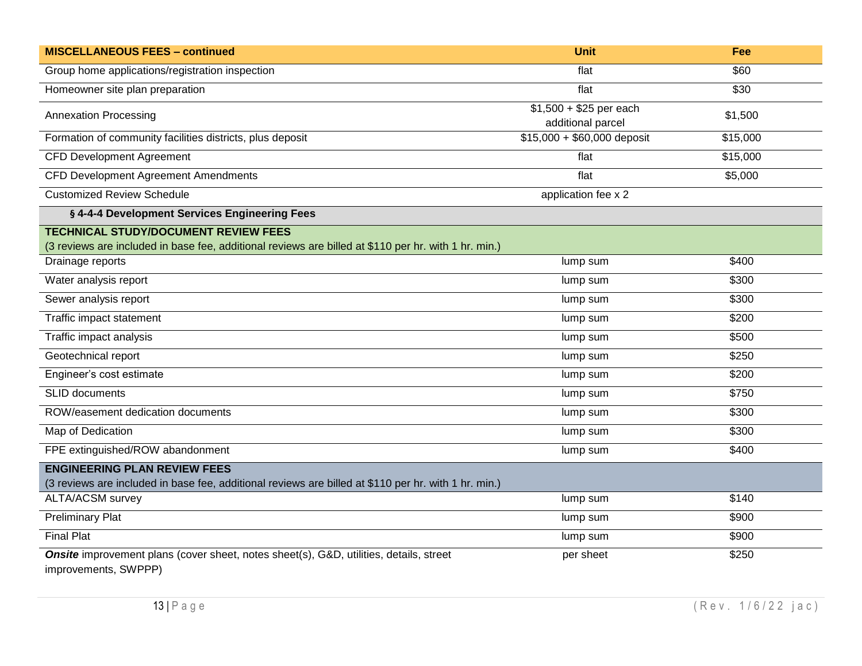| <b>MISCELLANEOUS FEES - continued</b>                                                                          | <b>Unit</b>                                  | Fee               |  |
|----------------------------------------------------------------------------------------------------------------|----------------------------------------------|-------------------|--|
| Group home applications/registration inspection                                                                | flat                                         | \$60              |  |
| Homeowner site plan preparation                                                                                | flat                                         | \$30              |  |
| <b>Annexation Processing</b>                                                                                   | $$1,500 + $25$ per each<br>additional parcel | \$1,500           |  |
| Formation of community facilities districts, plus deposit                                                      | $$15,000 + $60,000$ deposit                  | \$15,000          |  |
| <b>CFD Development Agreement</b>                                                                               | flat                                         | \$15,000          |  |
| <b>CFD Development Agreement Amendments</b>                                                                    | flat                                         | \$5,000           |  |
| <b>Customized Review Schedule</b>                                                                              | application fee x 2                          |                   |  |
| § 4-4-4 Development Services Engineering Fees                                                                  |                                              |                   |  |
| <b>TECHNICAL STUDY/DOCUMENT REVIEW FEES</b>                                                                    |                                              |                   |  |
| (3 reviews are included in base fee, additional reviews are billed at \$110 per hr. with 1 hr. min.)           |                                              |                   |  |
| Drainage reports                                                                                               | lump sum                                     | \$400             |  |
| Water analysis report                                                                                          | lump sum                                     | \$300             |  |
| Sewer analysis report                                                                                          | lump sum                                     | \$300             |  |
| Traffic impact statement                                                                                       | lump sum                                     | \$200             |  |
| Traffic impact analysis                                                                                        | lump sum                                     | \$500             |  |
| Geotechnical report                                                                                            | lump sum                                     | \$250             |  |
| Engineer's cost estimate                                                                                       | lump sum                                     | \$200             |  |
| <b>SLID</b> documents                                                                                          | lump sum                                     | \$750             |  |
| ROW/easement dedication documents                                                                              | lump sum                                     | \$300             |  |
| Map of Dedication                                                                                              | lump sum                                     | \$300             |  |
| FPE extinguished/ROW abandonment                                                                               | lump sum                                     | \$400             |  |
| <b>ENGINEERING PLAN REVIEW FEES</b>                                                                            |                                              |                   |  |
| (3 reviews are included in base fee, additional reviews are billed at \$110 per hr. with 1 hr. min.)           |                                              |                   |  |
| <b>ALTA/ACSM survey</b>                                                                                        | lump sum                                     | \$140             |  |
| <b>Preliminary Plat</b>                                                                                        | lump sum                                     | $\overline{$}900$ |  |
| <b>Final Plat</b>                                                                                              | lump sum                                     | \$900             |  |
| Onsite improvement plans (cover sheet, notes sheet(s), G&D, utilities, details, street<br>improvements, SWPPP) | per sheet                                    | \$250             |  |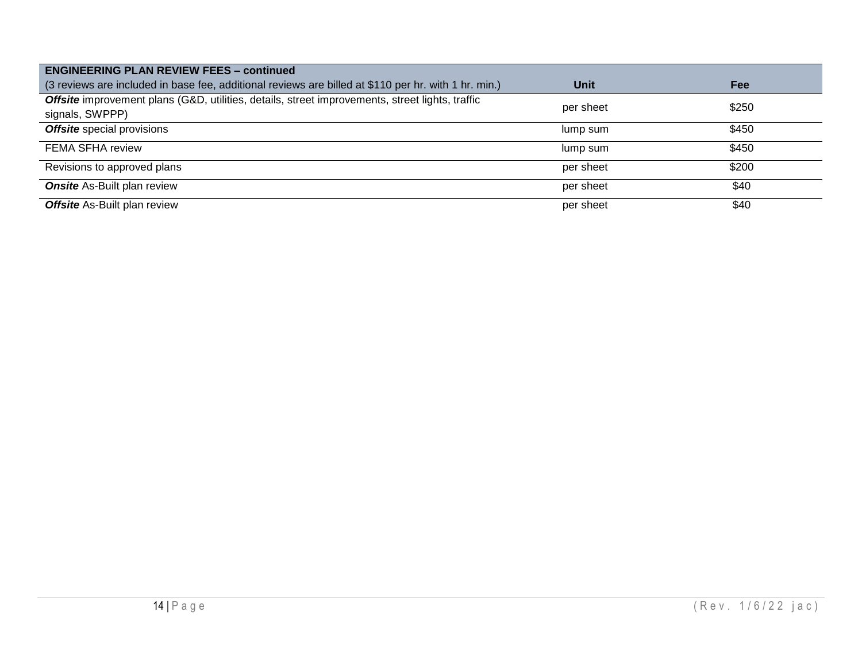| <b>ENGINEERING PLAN REVIEW FEES - continued</b>                                                                    |           |       |  |  |  |  |
|--------------------------------------------------------------------------------------------------------------------|-----------|-------|--|--|--|--|
| (3 reviews are included in base fee, additional reviews are billed at \$110 per hr. with 1 hr. min.)               | Unit      | Fee   |  |  |  |  |
| Offsite improvement plans (G&D, utilities, details, street improvements, street lights, traffic<br>signals, SWPPP) | per sheet | \$250 |  |  |  |  |
| Offsite special provisions                                                                                         | lump sum  | \$450 |  |  |  |  |
| <b>FEMA SFHA review</b>                                                                                            | lump sum  | \$450 |  |  |  |  |
| Revisions to approved plans                                                                                        | per sheet | \$200 |  |  |  |  |
| <b>Onsite</b> As-Built plan review                                                                                 | per sheet | \$40  |  |  |  |  |
| <b>Offsite</b> As-Built plan review                                                                                | per sheet | \$40  |  |  |  |  |